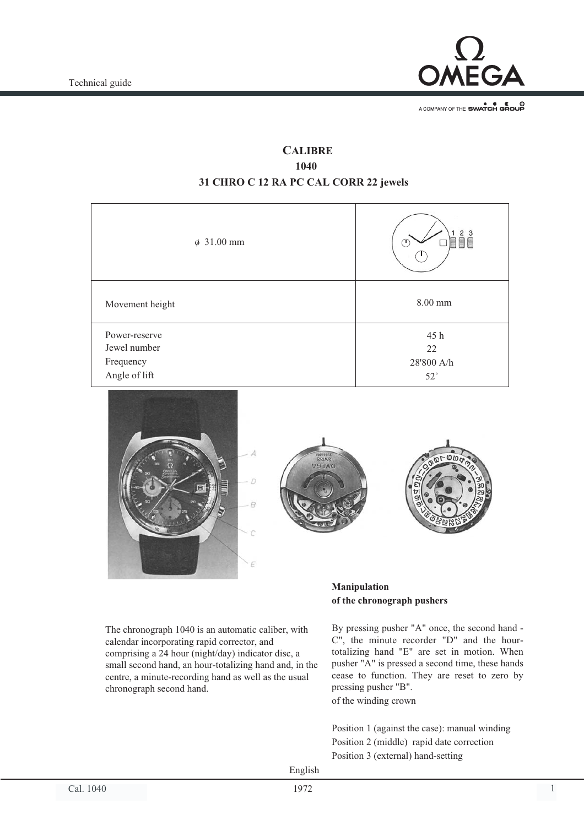

A COMPANY OF THE SWATCH GROUP

## **CALIBRE** 1040<br>1040 **31 CHRO C 12 RA PC CAL CORR 22 jewels**

| $\phi$ 31.00 mm               | 2 3<br>E     |
|-------------------------------|--------------|
| Movement height               | 8.00 mm      |
| Power-reserve<br>Jewel number | 45 h         |
|                               | 22           |
| Frequency                     | 28'800 A/h   |
| Angle of lift                 | $52^{\circ}$ |







The chronograph 1040 is an automatic caliber, with calendar incorporating rapid corrector, and comprising a 24 hour (night/day) indicator disc, a small second hand, an hour-totalizing hand and, in the centre, a minute-recording hand as well as the usual chronograph second hand.

## **Manipulation of the chronograph pushers**

By pressing pusher "A" once, the second hand - C", the minute recorder "D" and the hourtotalizing hand "E" are set in motion. When pusher "A" is pressed a second time, these hands cease to function. They are reset to zero by pressing pusher "B". of the winding crown

Position 1 (against the case): manual winding Position 2 (middle) rapid date correction Position 3 (external) hand-setting

English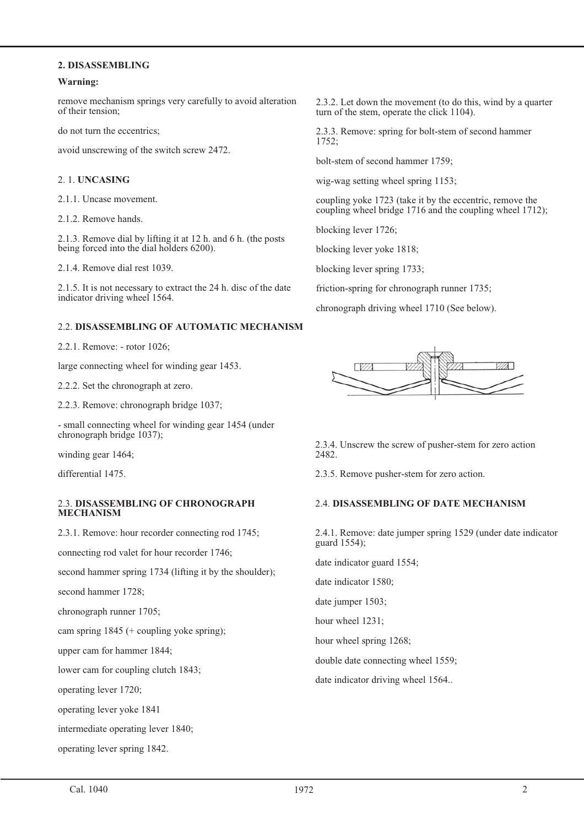# **2. DISASSEMBLING**

# **Warning:**

remove mechanism springs very carefully to avoid alteration of their tension;

do not turn the eccentrics;

avoid unscrewing of the switch screw 2472.

#### 2. 1. **UNCASING**

2.1.1. Uncase movement.

2.1.2. Remove hands.

2.1.3. Remove dial by lifting it at 12 h. and 6 h. (the posts being forced into the dial holders 6200).

2.1.4. Remove dial rest 1039.

2.1.5. It is not necessary to extract the 24 h. disc of the date indicator driving wheel 1564.

#### 2.2. **DISASSEMBLING OF AUTOMATIC MECHANISM**

2.2.1. Remove: - rotor 1026;

large connecting wheel for winding gear 1453.

2.2.2. Set the chronograph at zero.

2.2.3. Remove: chronograph bridge 1037;

- small connecting wheel for winding gear 1454 (under chronograph bridge 1037);

winding gear 1464;

differential 1475.

## 2.3. **DISASSEMBLING OF CHRONOGRAPH MECHANISM**

2.3.1. Remove: hour recorder connecting rod 1745;

connecting rod valet for hour recorder 1746;

second hammer spring 1734 (lifting it by the shoulder);

second hammer 1728;

chronograph runner 1705;

cam spring 1845 (+ coupling yoke spring);

upper cam for hammer 1844;

lower cam for coupling clutch 1843;

operating lever 1720;

operating lever yoke 1841

intermediate operating lever 1840;

operating lever spring 1842.

2.3.2. Let down the movement (to do this, wind by a quarter turn of the stem, operate the click 1104).

2.3.3. Remove: spring for bolt-stem of second hammer 1752;

bolt-stem of second hammer 1759;

wig-wag setting wheel spring 1153;

coupling yoke 1723 (take it by the eccentric, remove the coupling wheel bridge 1716 and the coupling wheel 1712);

blocking lever 1726;

blocking lever yoke 1818;

blocking lever spring 1733;

friction-spring for chronograph runner 1735;

chronograph driving wheel 1710 (See below).



2.3.4. Unscrew the screw of pusher-stem for zero action 2482.

2.3.5. Remove pusher-stem for zero action.

### 2.4. **DISASSEMBLING OF DATE MECHANISM**

2.4.1. Remove: date jumper spring 1529 (under date indicator guard 1554);

date indicator guard 1554;

date indicator 1580;

date jumper 1503;

hour wheel 1231;

hour wheel spring 1268;

double date connecting wheel 1559;

date indicator driving wheel 1564..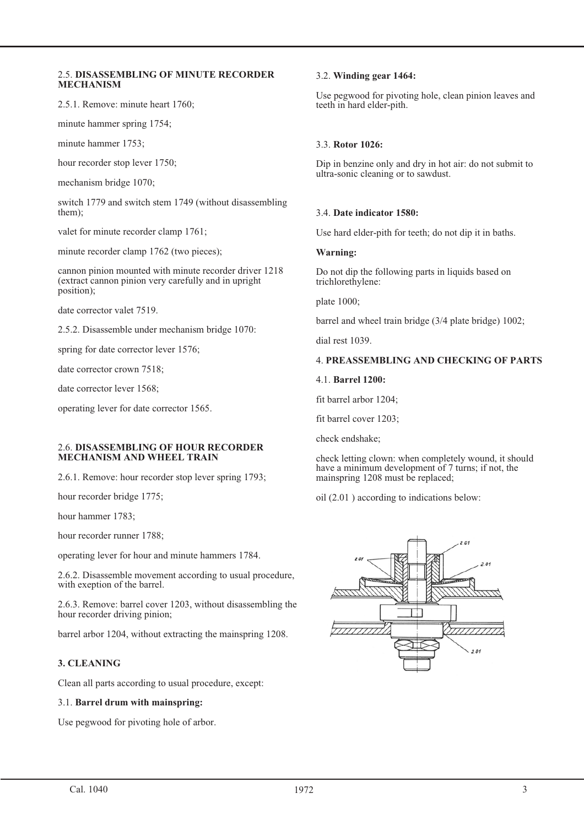#### 2.5. **DISASSEMBLING OF MINUTE RECORDER MECHANISM**

2.5.1. Remove: minute heart 1760;

minute hammer spring 1754;

minute hammer 1753;

hour recorder stop lever 1750;

mechanism bridge 1070;

switch 1779 and switch stem 1749 (without disassembling them);

valet for minute recorder clamp 1761;

minute recorder clamp 1762 (two pieces);

cannon pinion mounted with minute recorder driver 1218 (extract cannon pinion very carefully and in upright position);

date corrector valet 7519.

2.5.2. Disassemble under mechanism bridge 1070:

spring for date corrector lever 1576;

date corrector crown 7518;

date corrector lever 1568;

operating lever for date corrector 1565.

#### 2.6. **DISASSEMBLING OF HOUR RECORDER MECHANISM AND WHEEL TRAIN**

2.6.1. Remove: hour recorder stop lever spring 1793;

hour recorder bridge 1775;

hour hammer 1783;

hour recorder runner 1788;

operating lever for hour and minute hammers 1784.

2.6.2. Disassemble movement according to usual procedure, with exeption of the barrel.

2.6.3. Remove: barrel cover 1203, without disassembling the hour recorder driving pinion;

barrel arbor 1204, without extracting the mainspring 1208.

## **3. CLEANING**

Clean all parts according to usual procedure, except:

### 3.1. **Barrel drum with mainspring:**

Use pegwood for pivoting hole of arbor.

## 3.2. **Winding gear 1464:**

Use pegwood for pivoting hole, clean pinion leaves and teeth in hard elder-pith.

## 3.3. **Rotor 1026:**

Dip in benzine only and dry in hot air: do not submit to ultra-sonic cleaning or to sawdust.

## 3.4. **Date indicator 1580:**

Use hard elder-pith for teeth; do not dip it in baths.

### **Warning:**

Do not dip the following parts in liquids based on trichlorethylene:

plate 1000;

barrel and wheel train bridge (3/4 plate bridge) 1002;

dial rest 1039.

## 4. **PREASSEMBLING AND CHECKING OF PARTS**

4.1. **Barrel 1200:**

fit barrel arbor 1204;

fit barrel cover 1203;

check endshake;

check letting clown: when completely wound, it should have a minimum development of 7 turns; if not, the mainspring 1208 must be replaced;

oil (2.01 ) according to indications below:

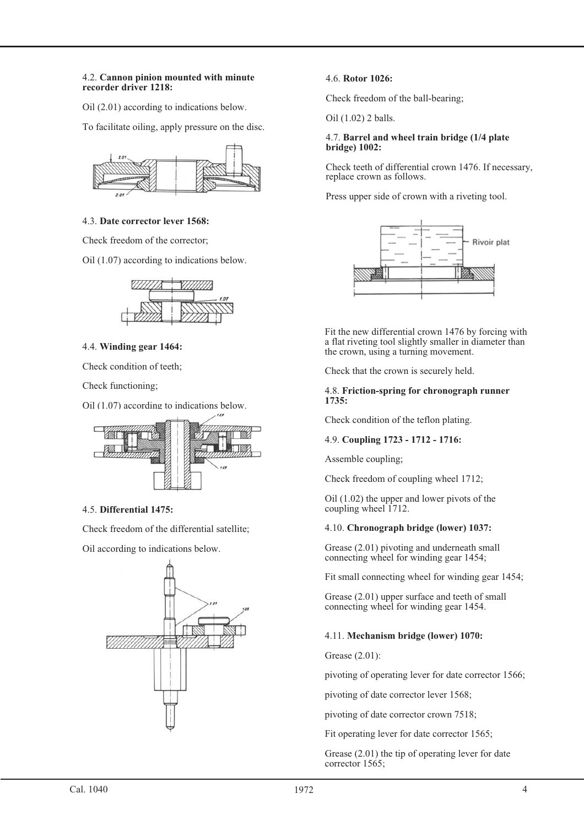#### 4.2. **Cannon pinion mounted with minute recorder driver 1218:**

Oil (2.01) according to indications below.

To facilitate oiling, apply pressure on the disc.



## 4.3. **Date corrector lever 1568:**

Check freedom of the corrector;

Oil (1.07) according to indications below.



## 4.4. **Winding gear 1464:**

Check condition of teeth;

Check functioning;

Oil (1.07) according to indications below.



## 4.5. **Differential 1475:**

Check freedom of the differential satellite;

Oil according to indications below.



## 4.6. **Rotor 1026:**

Check freedom of the ball-bearing;

Oil (1.02) 2 balls.

#### 4.7. **Barrel and wheel train bridge (1/4 plate bridge) 1002:**

Check teeth of differential crown 1476. If necessary, replace crown as follows.

Press upper side of crown with a riveting tool.



Fit the new differential crown 1476 by forcing with a flat riveting tool slightly smaller in diameter than the crown, using a turning movement.

Check that the crown is securely held.

### 4.8. **Friction-spring for chronograph runner 1735:**

Check condition of the teflon plating.

## 4.9. **Coupling 1723 - 1712 - 1716:**

Assemble coupling;

Check freedom of coupling wheel 1712;

Oil (1.02) the upper and lower pivots of the coupling wheel 1712.

## 4.10. **Chronograph bridge (lower) 1037:**

Grease (2.01) pivoting and underneath small connecting wheel for winding gear 1454;

Fit small connecting wheel for winding gear 1454;

Grease (2.01) upper surface and teeth of small connecting wheel for winding gear 1454.

## 4.11. **Mechanism bridge (lower) 1070:**

Grease (2.01):

pivoting of operating lever for date corrector 1566;

pivoting of date corrector lever 1568;

pivoting of date corrector crown 7518;

Fit operating lever for date corrector 1565;

Grease (2.01) the tip of operating lever for date corrector 1565;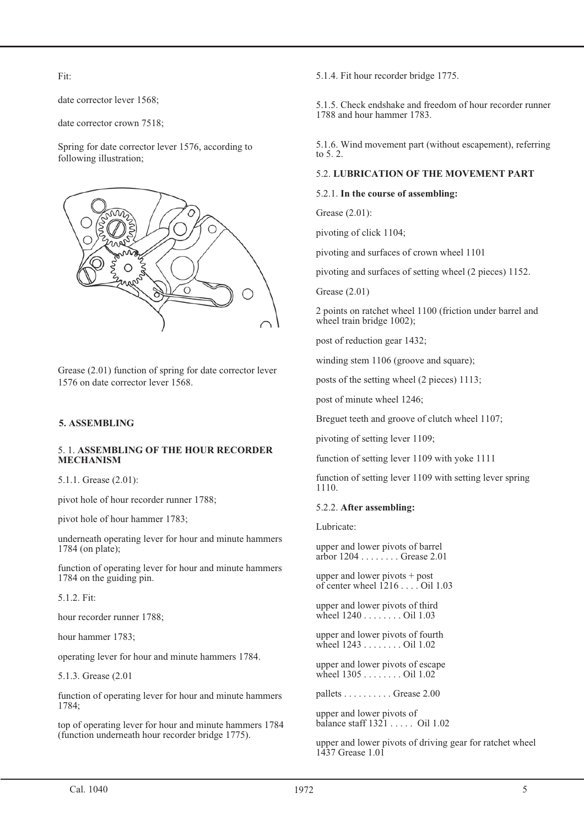Fit:

date corrector lever 1568;

date corrector crown 7518;

Spring for date corrector lever 1576, according to following illustration;



Grease (2.01) function of spring for date corrector lever 1576 on date corrector lever 1568.

# **5. ASSEMBLING**

## 5. 1. **ASSEMBLING OF THE HOUR RECORDER MECHANISM**

5.1.1. Grease (2.01):

pivot hole of hour recorder runner 1788;

pivot hole of hour hammer 1783;

underneath operating lever for hour and minute hammers 1784 (on plate);

function of operating lever for hour and minute hammers 1784 on the guiding pin.

5.1.2. Fit:

hour recorder runner 1788;

hour hammer 1783;

operating lever for hour and minute hammers 1784.

5.1.3. Grease (2.01

function of operating lever for hour and minute hammers 1784;

top of operating lever for hour and minute hammers 1784 (function underneath hour recorder bridge 1775).

5.1.4. Fit hour recorder bridge 1775.

5.1.5. Check endshake and freedom of hour recorder runner 1788 and hour hammer 1783.

5.1.6. Wind movement part (without escapement), referring to 5. 2.

## 5.2. **LUBRICATION OF THE MOVEMENT PART**

### 5.2.1. **In the course of assembling:**

Grease (2.01):

pivoting of click 1104;

pivoting and surfaces of crown wheel 1101

pivoting and surfaces of setting wheel (2 pieces) 1152.

Grease (2.01)

2 points on ratchet wheel 1100 (friction under barrel and wheel train bridge 1002);

post of reduction gear 1432;

winding stem 1106 (groove and square);

posts of the setting wheel (2 pieces) 1113;

post of minute wheel 1246;

Breguet teeth and groove of clutch wheel 1107;

pivoting of setting lever 1109;

function of setting lever 1109 with yoke 1111

function of setting lever 1109 with setting lever spring 1110.

### 5.2.2. **After assembling:**

Lubricate:

upper and lower pivots of barrel arbor 1204 . . . . . . . . Grease 2.01

upper and lower pivots + post of center wheel  $1216...$  Oil 1.03

upper and lower pivots of third wheel 1240 . . . . . . . . Oil 1.03

upper and lower pivots of fourth wheel 1243 . . . . . . . . Oil 1.02

upper and lower pivots of escape wheel 1305 . . . . . . . . Oil 1.02

pallets . . . . . . . . . . Grease 2.00

upper and lower pivots of balance staff  $1321$  . . . . . Oil 1.02

upper and lower pivots of driving gear for ratchet wheel 1437 Grease 1.01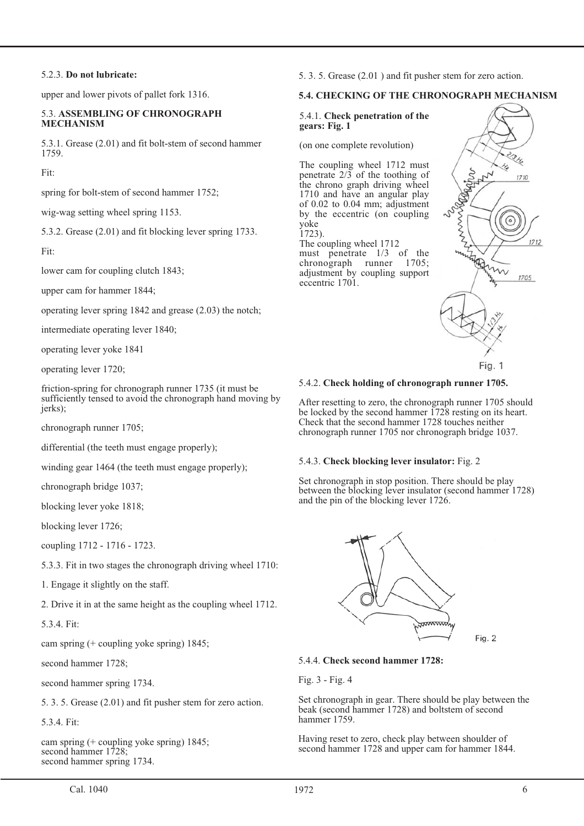### 5.2.3. **Do not lubricate:**

upper and lower pivots of pallet fork 1316.

### 5.3. **ASSEMBLING OF CHRONOGRAPH MECHANISM**

5.3.1. Grease (2.01) and fit bolt-stem of second hammer 1759.

Fit:

spring for bolt-stem of second hammer 1752;

wig-wag setting wheel spring 1153.

5.3.2. Grease (2.01) and fit blocking lever spring 1733.

Fit:

lower cam for coupling clutch 1843;

upper cam for hammer 1844;

operating lever spring 1842 and grease (2.03) the notch;

intermediate operating lever 1840;

operating lever yoke 1841

operating lever 1720;

friction-spring for chronograph runner 1735 (it must be sufficiently tensed to avoid the chronograph hand moving by jerks);

chronograph runner 1705;

differential (the teeth must engage properly);

winding gear 1464 (the teeth must engage properly);

chronograph bridge 1037;

blocking lever yoke 1818;

blocking lever 1726;

coupling 1712 - 1716 - 1723.

5.3.3. Fit in two stages the chronograph driving wheel 1710:

1. Engage it slightly on the staff.

2. Drive it in at the same height as the coupling wheel 1712.

5.3.4. Fit:

cam spring (+ coupling yoke spring) 1845;

second hammer 1728;

second hammer spring 1734.

5. 3. 5. Grease (2.01) and fit pusher stem for zero action.

5.3.4. Fit:

cam spring (+ coupling yoke spring) 1845; second hammer 1728; second hammer spring 1734.

5. 3. 5. Grease (2.01 ) and fit pusher stem for zero action.

## **5.4. CHECKING OF THE CHRONOGRAPH MECHANISM**

#### 5.4.1. **Check penetration of the gears: Fig. 1**

(on one complete revolution)

The coupling wheel 1712 must penetrate  $2/3$  of the toothing of the chrono graph driving wheel 1710 and have an angular play of 0.02 to 0.04 mm; adjustment by the eccentric (on coupling yoke 1723).

The coupling wheel 1712 must penetrate  $1/3$  of the chronograph runner  $1705$ ; chronograph runner adjustment by coupling support eccentric 1701.



#### 5.4.2. **Check holding of chronograph runner 1705.**

After resetting to zero, the chronograph runner 1705 should be locked by the second hammer 1728 resting on its heart. Check that the second hammer 1728 touches neither chronograph runner 1705 nor chronograph bridge 1037.

### 5.4.3. **Check blocking lever insulator:** Fig. 2

Set chronograph in stop position. There should be play between the blocking lever insulator (second hammer 1728) and the pin of the blocking lever 1726.



Fig. 2

### 5.4.4. **Check second hammer 1728:**

Fig. 3 - Fig. 4

Set chronograph in gear. There should be play between the beak (second hammer 1728) and boltstem of second hammer 1759.

Having reset to zero, check play between shoulder of second hammer 1728 and upper cam for hammer 1844.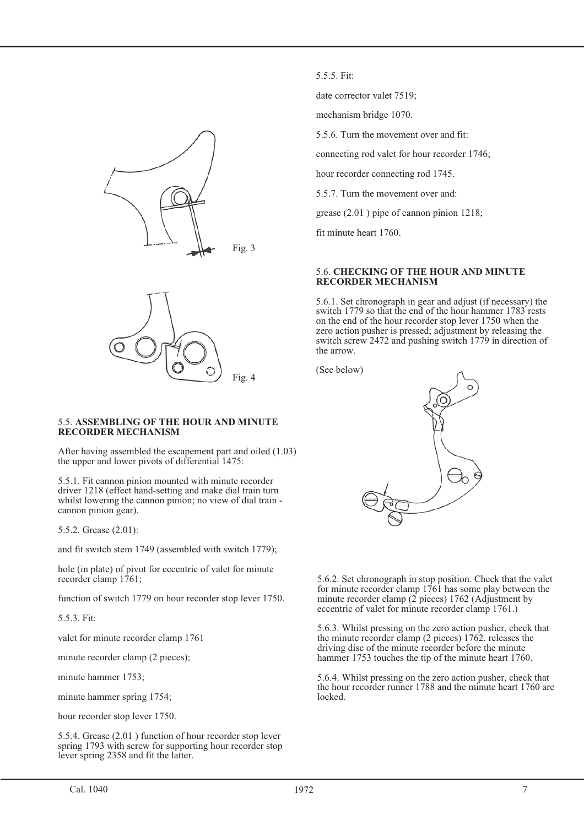



#### 5.5. **ASSEMBLING OF THE HOUR AND MINUTE RECORDER MECHANISM**

After having assembled the escapement part and oiled (1.03) the upper and lower pivots of differential 1475:

5.5.1. Fit cannon pinion mounted with minute recorder driver 1218 (effect hand-setting and make dial train turn whilst lowering the cannon pinion; no view of dial train cannon pinion gear).

5.5.2. Grease (2.01):

and fit switch stem 1749 (assembled with switch 1779);

hole (in plate) of pivot for eccentric of valet for minute recorder clamp 1761;

function of switch 1779 on hour recorder stop lever 1750.

5.5.3. Fit:

valet for minute recorder clamp 1761

minute recorder clamp (2 pieces);

minute hammer 1753;

minute hammer spring 1754;

hour recorder stop lever 1750.

5.5.4. Grease (2.01 ) function of hour recorder stop lever spring 1793 with screw for supporting hour recorder stop lever spring 2358 and fit the latter.

5.5.5. Fit:

date corrector valet 7519;

mechanism bridge 1070.

5.5.6. Turn the movement over and fit:

connecting rod valet for hour recorder 1746;

hour recorder connecting rod 1745.

5.5.7. Turn the movement over and:

grease (2.01 ) pipe of cannon pinion 1218;

fit minute heart 1760.

#### 5.6. **CHECKING OF THE HOUR AND MINUTE RECORDER MECHANISM**

5.6.1. Set chronograph in gear and adjust (if necessary) the switch 1779 so that the end of the hour hammer 1783 rests on the end of the hour recorder stop lever 1750 when the zero action pusher is pressed; adjustment by releasing the switch screw 2472 and pushing switch 1779 in direction of the arrow.

(See below)



5.6.2. Set chronograph in stop position. Check that the valet for minute recorder clamp 1761 has some play between the minute recorder clamp  $(2 \text{ pieces})$  1762 (Adjustment by eccentric of valet for minute recorder clamp 1761.)

5.6.3. Whilst pressing on the zero action pusher, check that the minute recorder clamp (2 pieces) 1762. releases the driving disc of the minute recorder before the minute hammer 1753 touches the tip of the minute heart 1760.

5.6.4. Whilst pressing on the zero action pusher, check that the hour recorder runner 1788 and the minute heart 1760 are locked.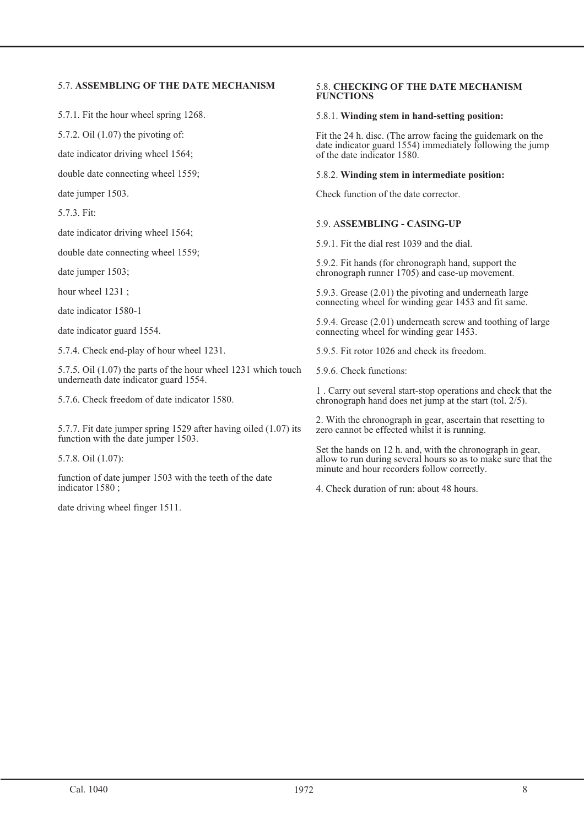## 5.7. **ASSEMBLING OF THE DATE MECHANISM**

5.7.1. Fit the hour wheel spring 1268.

5.7.2. Oil (1.07) the pivoting of:

date indicator driving wheel 1564;

double date connecting wheel 1559;

date jumper 1503.

5.7.3. Fit:

date indicator driving wheel 1564;

double date connecting wheel 1559;

date jumper 1503;

hour wheel 1231 ;

date indicator 1580-1

date indicator guard 1554.

5.7.4. Check end-play of hour wheel 1231.

5.7.5. Oil (1.07) the parts of the hour wheel 1231 which touch underneath date indicator guard 1554.

5.7.6. Check freedom of date indicator 1580.

5.7.7. Fit date jumper spring 1529 after having oiled (1.07) its function with the date jumper 1503.

5.7.8. Oil (1.07):

function of date jumper 1503 with the teeth of the date indicator 1580 ;

date driving wheel finger 1511.

#### 5.8. **CHECKING OF THE DATE MECHANISM FUNCTIONS**

## 5.8.1. **Winding stem in hand-setting position:**

Fit the 24 h. disc. (The arrow facing the guidemark on the date indicator guard 1554) immediately following the jump of the date indicator 1580.

### 5.8.2. **Winding stem in intermediate position:**

Check function of the date corrector.

## 5.9. A**SSEMBLING - CASING-UP**

5.9.1. Fit the dial rest 1039 and the dial.

5.9.2. Fit hands (for chronograph hand, support the chronograph runner 1705) and case-up movement.

5.9.3. Grease (2.01) the pivoting and underneath large connecting wheel for winding gear 1453 and fit same.

5.9.4. Grease (2.01) underneath screw and toothing of large connecting wheel for winding gear 1453.

5.9.5. Fit rotor 1026 and check its freedom.

5.9.6. Check functions:

1 . Carry out several start-stop operations and check that the chronograph hand does net jump at the start (tol. 2/5).

2. With the chronograph in gear, ascertain that resetting to zero cannot be effected whilst it is running.

Set the hands on 12 h. and, with the chronograph in gear, allow to run during several hours so as to make sure that the minute and hour recorders follow correctly.

4. Check duration of run: about 48 hours.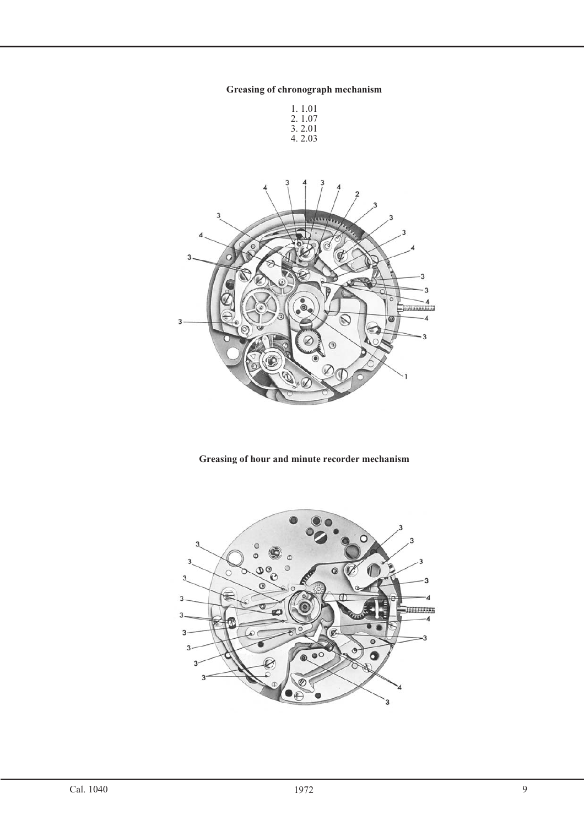## **Greasing of chronograph mechanism**





## **Greasing of hour and minute recorder mechanism**

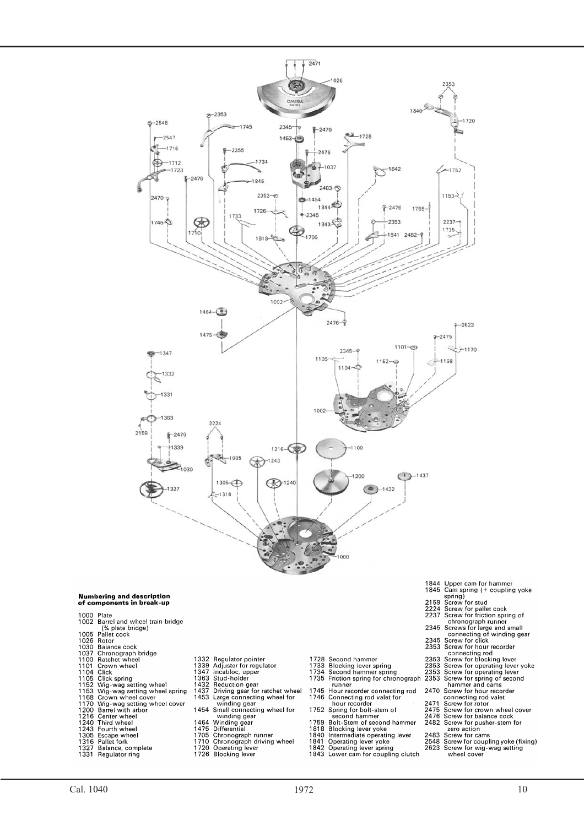

- 
- 

1000 Plate

- 
- 
- 1104 Click<br>1152 Wig-wag setting wheel<br>1152 Wig-wag setting wheel spring<br>1168 Crown wheel cover
- 1168 Crown wheel cover<br>1770 Wig-wag setting wheel cover<br>1200 Barrel with arbor<br>1216 Center wheel<br>1243 Fourth wheel<br>1243 Fourth wheel<br>1305 Escape wheel<br>1316 Pallet fork<br>1327 Balance, complete<br>1331 Regulator ring
- 
- 
- 
- 
- 
- 
- 
- 
- 
- 
- 
- 
- 
- 
- 
- 
- -
	-
	-
- 
- 
- 
- 
- 
- 
- 
- 
- 1844 Upper cam for hammer<br>1845 Cam spring (+ coupling yoke<br>2159 Screw for pailed cock<br>2227 Screw for pailed cock<br>2227 Screw for pailed cock<br>6237 Screws for triction spring of<br>chronograph runner<br>2345 Screws for riction spr
- 
- -